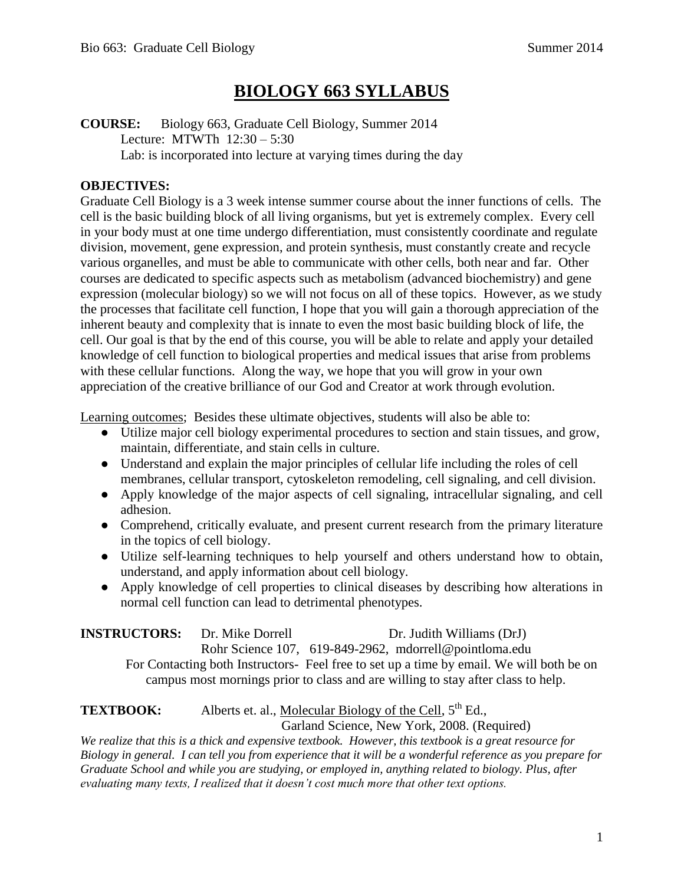# **BIOLOGY 663 SYLLABUS**

**COURSE:** Biology 663, Graduate Cell Biology, Summer 2014 Lecture: MTWTh 12:30 – 5:30 Lab: is incorporated into lecture at varying times during the day

#### **OBJECTIVES:**

Graduate Cell Biology is a 3 week intense summer course about the inner functions of cells. The cell is the basic building block of all living organisms, but yet is extremely complex. Every cell in your body must at one time undergo differentiation, must consistently coordinate and regulate division, movement, gene expression, and protein synthesis, must constantly create and recycle various organelles, and must be able to communicate with other cells, both near and far. Other courses are dedicated to specific aspects such as metabolism (advanced biochemistry) and gene expression (molecular biology) so we will not focus on all of these topics. However, as we study the processes that facilitate cell function, I hope that you will gain a thorough appreciation of the inherent beauty and complexity that is innate to even the most basic building block of life, the cell. Our goal is that by the end of this course, you will be able to relate and apply your detailed knowledge of cell function to biological properties and medical issues that arise from problems with these cellular functions. Along the way, we hope that you will grow in your own appreciation of the creative brilliance of our God and Creator at work through evolution.

Learning outcomes; Besides these ultimate objectives, students will also be able to:

- Utilize major cell biology experimental procedures to section and stain tissues, and grow, maintain, differentiate, and stain cells in culture.
- Understand and explain the major principles of cellular life including the roles of cell membranes, cellular transport, cytoskeleton remodeling, cell signaling, and cell division.
- Apply knowledge of the major aspects of cell signaling, intracellular signaling, and cell adhesion.
- Comprehend, critically evaluate, and present current research from the primary literature in the topics of cell biology.
- Utilize self-learning techniques to help yourself and others understand how to obtain, understand, and apply information about cell biology.
- Apply knowledge of cell properties to clinical diseases by describing how alterations in normal cell function can lead to detrimental phenotypes.

| <b>INSTRUCTORS:</b> | Dr. Mike Dorrell | Dr. Judith Williams (DrJ) |
|---------------------|------------------|---------------------------|
|                     |                  |                           |

Rohr Science 107, 619-849-2962, mdorrell@pointloma.edu

For Contacting both Instructors- Feel free to set up a time by email. We will both be on campus most mornings prior to class and are willing to stay after class to help.

**TEXTBOOK:** Alberts et. al., Molecular Biology of the Cell, 5<sup>th</sup> Ed.,

Garland Science, New York, 2008. (Required)

*We realize that this is a thick and expensive textbook. However, this textbook is a great resource for Biology in general. I can tell you from experience that it will be a wonderful reference as you prepare for Graduate School and while you are studying, or employed in, anything related to biology. Plus, after evaluating many texts, I realized that it doesn't cost much more that other text options.*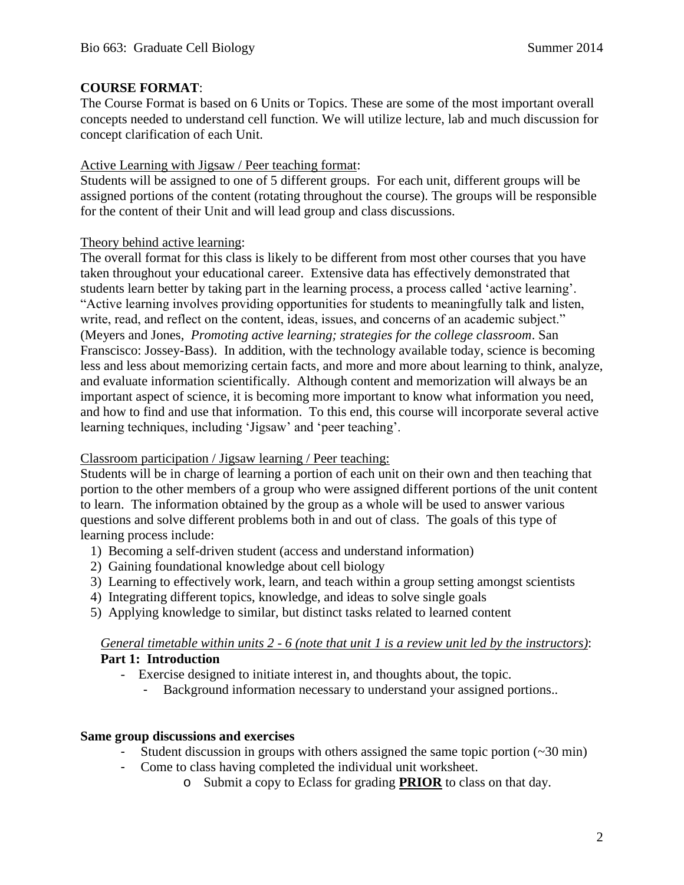#### **COURSE FORMAT**:

The Course Format is based on 6 Units or Topics. These are some of the most important overall concepts needed to understand cell function. We will utilize lecture, lab and much discussion for concept clarification of each Unit.

# Active Learning with Jigsaw / Peer teaching format:

Students will be assigned to one of 5 different groups. For each unit, different groups will be assigned portions of the content (rotating throughout the course). The groups will be responsible for the content of their Unit and will lead group and class discussions.

# Theory behind active learning:

The overall format for this class is likely to be different from most other courses that you have taken throughout your educational career. Extensive data has effectively demonstrated that students learn better by taking part in the learning process, a process called 'active learning'. "Active learning involves providing opportunities for students to meaningfully talk and listen, write, read, and reflect on the content, ideas, issues, and concerns of an academic subject." (Meyers and Jones, *Promoting active learning; strategies for the college classroom*. San Franscisco: Jossey-Bass). In addition, with the technology available today, science is becoming less and less about memorizing certain facts, and more and more about learning to think, analyze, and evaluate information scientifically. Although content and memorization will always be an important aspect of science, it is becoming more important to know what information you need, and how to find and use that information. To this end, this course will incorporate several active learning techniques, including 'Jigsaw' and 'peer teaching'.

#### Classroom participation / Jigsaw learning / Peer teaching:

Students will be in charge of learning a portion of each unit on their own and then teaching that portion to the other members of a group who were assigned different portions of the unit content to learn. The information obtained by the group as a whole will be used to answer various questions and solve different problems both in and out of class. The goals of this type of learning process include:

- 1) Becoming a self-driven student (access and understand information)
- 2) Gaining foundational knowledge about cell biology
- 3) Learning to effectively work, learn, and teach within a group setting amongst scientists
- 4) Integrating different topics, knowledge, and ideas to solve single goals
- 5) Applying knowledge to similar, but distinct tasks related to learned content

#### *General timetable within units 2 - 6 (note that unit 1 is a review unit led by the instructors)*: **Part 1: Introduction**

- Exercise designed to initiate interest in, and thoughts about, the topic.
	- Background information necessary to understand your assigned portions..

# **Same group discussions and exercises**

- Student discussion in groups with others assigned the same topic portion (~30 min)
- Come to class having completed the individual unit worksheet.
	- o Submit a copy to Eclass for grading **PRIOR** to class on that day.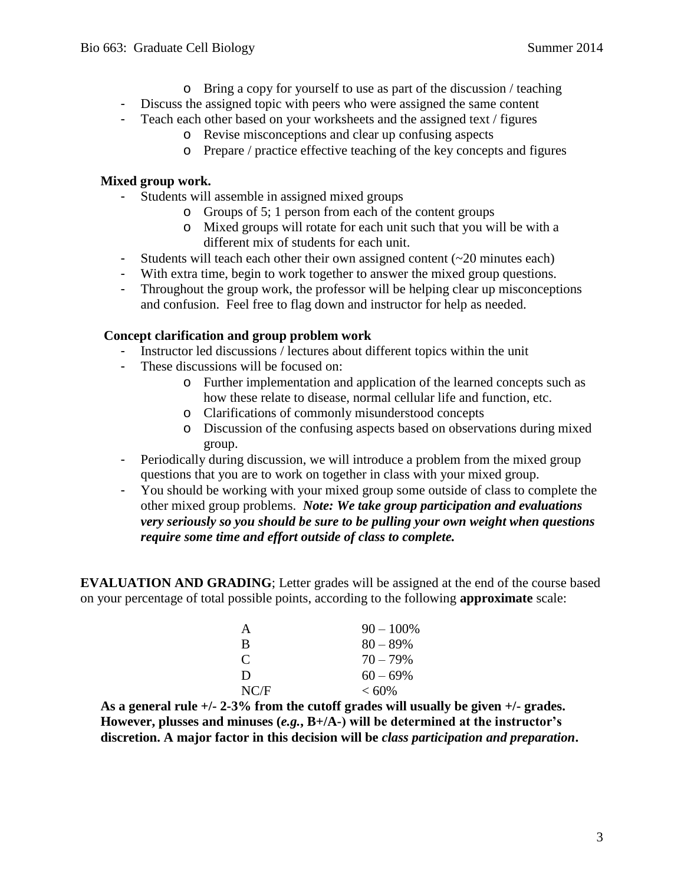- o Bring a copy for yourself to use as part of the discussion / teaching
- Discuss the assigned topic with peers who were assigned the same content
- Teach each other based on your worksheets and the assigned text / figures
	- o Revise misconceptions and clear up confusing aspects
	- o Prepare / practice effective teaching of the key concepts and figures

#### **Mixed group work.**

- Students will assemble in assigned mixed groups
	- o Groups of 5; 1 person from each of the content groups
	- o Mixed groups will rotate for each unit such that you will be with a different mix of students for each unit.
- Students will teach each other their own assigned content (~20 minutes each)
- With extra time, begin to work together to answer the mixed group questions.
- Throughout the group work, the professor will be helping clear up misconceptions and confusion. Feel free to flag down and instructor for help as needed.

#### **Concept clarification and group problem work**

- Instructor led discussions / lectures about different topics within the unit
- These discussions will be focused on:
	- o Further implementation and application of the learned concepts such as how these relate to disease, normal cellular life and function, etc.
	- o Clarifications of commonly misunderstood concepts
	- o Discussion of the confusing aspects based on observations during mixed group.
- Periodically during discussion, we will introduce a problem from the mixed group questions that you are to work on together in class with your mixed group.
- You should be working with your mixed group some outside of class to complete the other mixed group problems. *Note: We take group participation and evaluations very seriously so you should be sure to be pulling your own weight when questions require some time and effort outside of class to complete.*

**EVALUATION AND GRADING**; Letter grades will be assigned at the end of the course based on your percentage of total possible points, according to the following **approximate** scale:

| A    | $90 - 100\%$ |
|------|--------------|
| R    | $80 - 89\%$  |
| C    | $70 - 79\%$  |
| Ð    | $60 - 69\%$  |
| NC/F | $< 60\%$     |

**As a general rule +/- 2-3% from the cutoff grades will usually be given +/- grades. However, plusses and minuses (***e.g.***, B+/A-) will be determined at the instructor's discretion. A major factor in this decision will be** *class participation and preparation***.**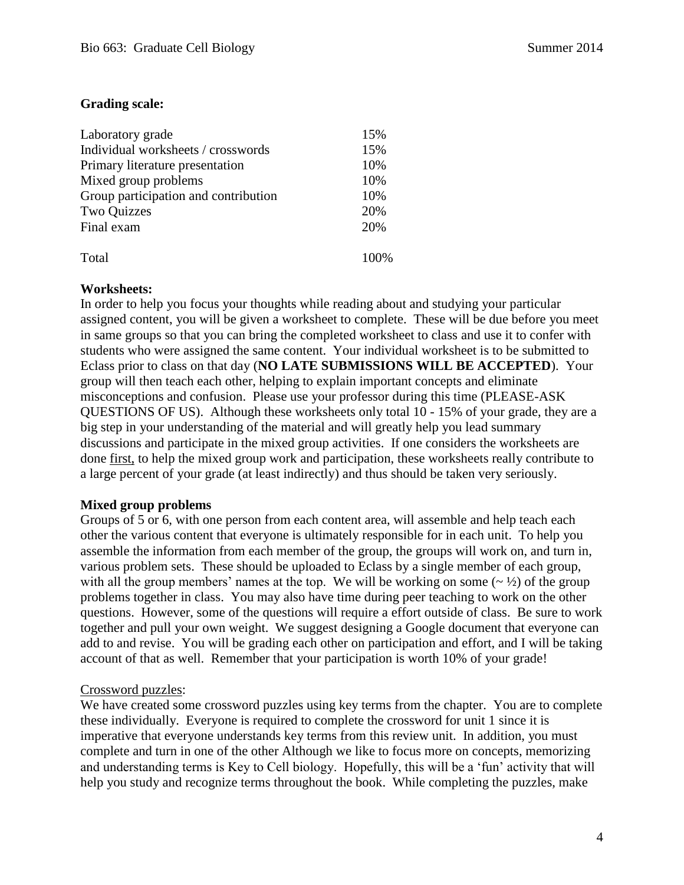#### **Grading scale:**

| Laboratory grade                     | 15% |
|--------------------------------------|-----|
| Individual worksheets / crosswords   | 15% |
| Primary literature presentation      | 10% |
| Mixed group problems                 | 10% |
| Group participation and contribution | 10% |
| <b>Two Quizzes</b>                   | 20% |
| Final exam                           | 20% |
| Total                                |     |

#### **Worksheets:**

In order to help you focus your thoughts while reading about and studying your particular assigned content, you will be given a worksheet to complete. These will be due before you meet in same groups so that you can bring the completed worksheet to class and use it to confer with students who were assigned the same content. Your individual worksheet is to be submitted to Eclass prior to class on that day (**NO LATE SUBMISSIONS WILL BE ACCEPTED**). Your group will then teach each other, helping to explain important concepts and eliminate misconceptions and confusion. Please use your professor during this time (PLEASE-ASK QUESTIONS OF US). Although these worksheets only total 10 - 15% of your grade, they are a big step in your understanding of the material and will greatly help you lead summary discussions and participate in the mixed group activities. If one considers the worksheets are done first, to help the mixed group work and participation, these worksheets really contribute to a large percent of your grade (at least indirectly) and thus should be taken very seriously.

#### **Mixed group problems**

Groups of 5 or 6, with one person from each content area, will assemble and help teach each other the various content that everyone is ultimately responsible for in each unit. To help you assemble the information from each member of the group, the groups will work on, and turn in, various problem sets. These should be uploaded to Eclass by a single member of each group, with all the group members' names at the top. We will be working on some  $(-\frac{1}{2})$  of the group problems together in class. You may also have time during peer teaching to work on the other questions. However, some of the questions will require a effort outside of class. Be sure to work together and pull your own weight. We suggest designing a Google document that everyone can add to and revise. You will be grading each other on participation and effort, and I will be taking account of that as well. Remember that your participation is worth 10% of your grade!

#### Crossword puzzles:

We have created some crossword puzzles using key terms from the chapter. You are to complete these individually. Everyone is required to complete the crossword for unit 1 since it is imperative that everyone understands key terms from this review unit. In addition, you must complete and turn in one of the other Although we like to focus more on concepts, memorizing and understanding terms is Key to Cell biology. Hopefully, this will be a 'fun' activity that will help you study and recognize terms throughout the book. While completing the puzzles, make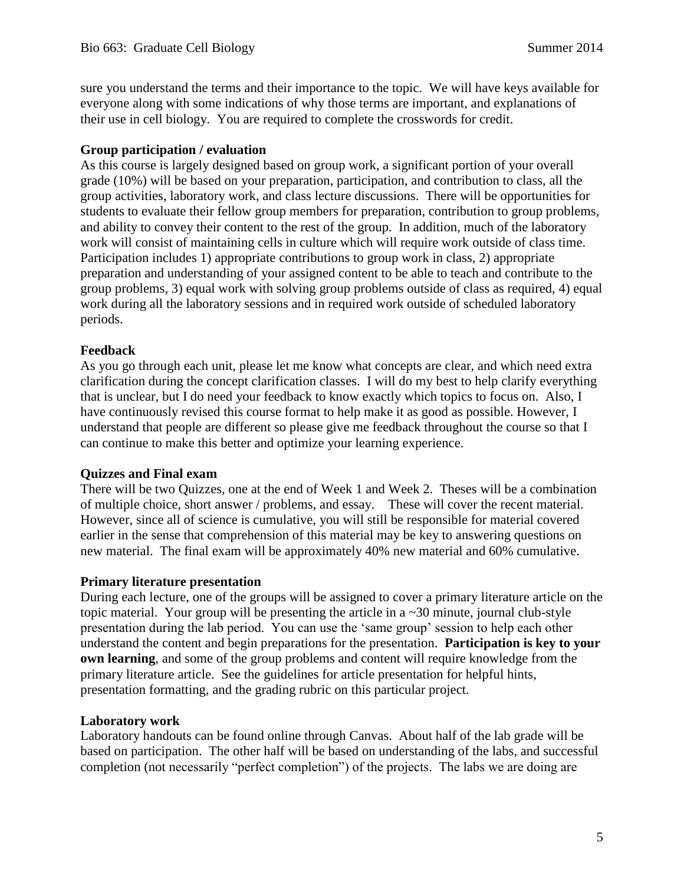sure you understand the terms and their importance to the topic. We will have keys available for everyone along with some indications of why those terms are important, and explanations of their use in cell biology. You are required to complete the crosswords for credit.

#### **Group participation / evaluation**

As this course is largely designed based on group work, a significant portion of your overall grade (10%) will be based on your preparation, participation, and contribution to class, all the group activities, laboratory work, and class lecture discussions. There will be opportunities for students to evaluate their fellow group members for preparation, contribution to group problems, and ability to convey their content to the rest of the group. In addition, much of the laboratory work will consist of maintaining cells in culture which will require work outside of class time. Participation includes 1) appropriate contributions to group work in class, 2) appropriate preparation and understanding of your assigned content to be able to teach and contribute to the group problems, 3) equal work with solving group problems outside of class as required, 4) equal work during all the laboratory sessions and in required work outside of scheduled laboratory periods.

#### **Feedback**

As you go through each unit, please let me know what concepts are clear, and which need extra clarification during the concept clarification classes. I will do my best to help clarify everything that is unclear, but I do need your feedback to know exactly which topics to focus on. Also, I have continuously revised this course format to help make it as good as possible. However, I understand that people are different so please give me feedback throughout the course so that I can continue to make this better and optimize your learning experience.

#### **Quizzes and Final exam**

There will be two Quizzes, one at the end of Week 1 and Week 2. Theses will be a combination of multiple choice, short answer / problems, and essay. These will cover the recent material. However, since all of science is cumulative, you will still be responsible for material covered earlier in the sense that comprehension of this material may be key to answering questions on new material. The final exam will be approximately 40% new material and 60% cumulative.

#### **Primary literature presentation**

During each lecture, one of the groups will be assigned to cover a primary literature article on the topic material. Your group will be presenting the article in  $a \sim 30$  minute, journal club-style presentation during the lab period. You can use the 'same group' session to help each other understand the content and begin preparations for the presentation. **Participation is key to your own learning**, and some of the group problems and content will require knowledge from the primary literature article. See the guidelines for article presentation for helpful hints, presentation formatting, and the grading rubric on this particular project.

#### **Laboratory work**

Laboratory handouts can be found online through Canvas. About half of the lab grade will be based on participation. The other half will be based on understanding of the labs, and successful completion (not necessarily "perfect completion") of the projects. The labs we are doing are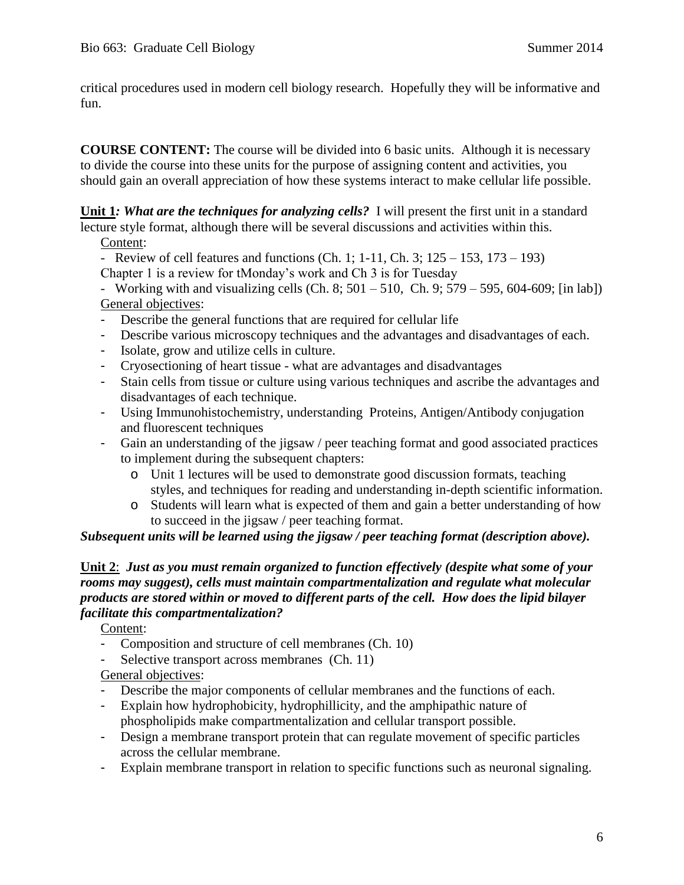critical procedures used in modern cell biology research. Hopefully they will be informative and fun.

**COURSE CONTENT:** The course will be divided into 6 basic units. Although it is necessary to divide the course into these units for the purpose of assigning content and activities, you should gain an overall appreciation of how these systems interact to make cellular life possible.

**Unit 1***: What are the techniques for analyzing cells?* I will present the first unit in a standard lecture style format, although there will be several discussions and activities within this.

Content:

- Review of cell features and functions (Ch. 1; 1-11, Ch. 3;  $125 - 153$ ,  $173 - 193$ ) Chapter 1 is a review for tMonday's work and Ch 3 is for Tuesday

- Working with and visualizing cells (Ch. 8;  $501 - 510$ , Ch. 9;  $579 - 595$ ,  $604 - 609$ ; [in lab]) General objectives:

- Describe the general functions that are required for cellular life
- Describe various microscopy techniques and the advantages and disadvantages of each.
- Isolate, grow and utilize cells in culture.
- Cryosectioning of heart tissue what are advantages and disadvantages
- Stain cells from tissue or culture using various techniques and ascribe the advantages and disadvantages of each technique.
- Using Immunohistochemistry, understanding Proteins, Antigen/Antibody conjugation and fluorescent techniques
- Gain an understanding of the jigsaw / peer teaching format and good associated practices to implement during the subsequent chapters:
	- o Unit 1 lectures will be used to demonstrate good discussion formats, teaching styles, and techniques for reading and understanding in-depth scientific information.
	- o Students will learn what is expected of them and gain a better understanding of how to succeed in the jigsaw / peer teaching format.

#### *Subsequent units will be learned using the jigsaw / peer teaching format (description above).*

#### **Unit 2**: *Just as you must remain organized to function effectively (despite what some of your rooms may suggest), cells must maintain compartmentalization and regulate what molecular products are stored within or moved to different parts of the cell. How does the lipid bilayer facilitate this compartmentalization?*

Content:

- Composition and structure of cell membranes (Ch. 10)
- Selective transport across membranes (Ch. 11)

General objectives:

- Describe the major components of cellular membranes and the functions of each.
- Explain how hydrophobicity, hydrophillicity, and the amphipathic nature of phospholipids make compartmentalization and cellular transport possible.
- Design a membrane transport protein that can regulate movement of specific particles across the cellular membrane.
- Explain membrane transport in relation to specific functions such as neuronal signaling.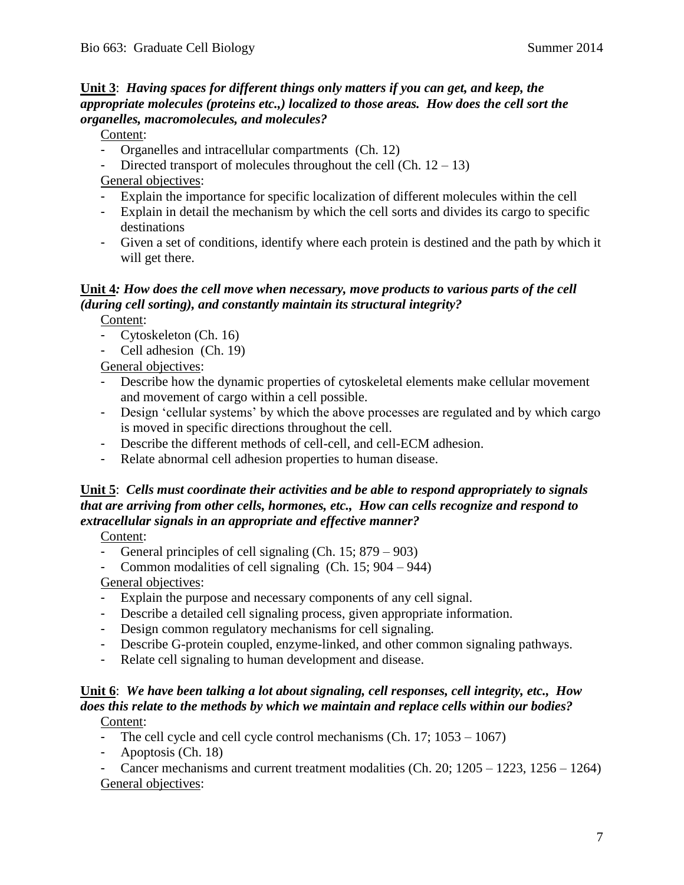### **Unit 3**: *Having spaces for different things only matters if you can get, and keep, the appropriate molecules (proteins etc.,) localized to those areas. How does the cell sort the organelles, macromolecules, and molecules?*

#### Content:

- Organelles and intracellular compartments (Ch. 12)
- Directed transport of molecules throughout the cell (Ch.  $12 13$ )

General objectives:

- Explain the importance for specific localization of different molecules within the cell
- Explain in detail the mechanism by which the cell sorts and divides its cargo to specific destinations
- Given a set of conditions, identify where each protein is destined and the path by which it will get there.

# **Unit 4***: How does the cell move when necessary, move products to various parts of the cell (during cell sorting), and constantly maintain its structural integrity?*

Content:

- Cytoskeleton (Ch. 16)
- Cell adhesion (Ch. 19)

General objectives:

- Describe how the dynamic properties of cytoskeletal elements make cellular movement and movement of cargo within a cell possible.
- Design 'cellular systems' by which the above processes are regulated and by which cargo is moved in specific directions throughout the cell.
- Describe the different methods of cell-cell, and cell-ECM adhesion.
- Relate abnormal cell adhesion properties to human disease.

# **Unit 5**: *Cells must coordinate their activities and be able to respond appropriately to signals that are arriving from other cells, hormones, etc., How can cells recognize and respond to extracellular signals in an appropriate and effective manner?*

Content:

- General principles of cell signaling (Ch. 15; 879 903)
- Common modalities of cell signaling  $(Ch. 15; 904 944)$

General objectives:

- Explain the purpose and necessary components of any cell signal.
- Describe a detailed cell signaling process, given appropriate information.
- Design common regulatory mechanisms for cell signaling.
- Describe G-protein coupled, enzyme-linked, and other common signaling pathways.
- Relate cell signaling to human development and disease.

#### **Unit 6**: *We have been talking a lot about signaling, cell responses, cell integrity, etc., How does this relate to the methods by which we maintain and replace cells within our bodies?*  Content:

- The cell cycle and cell cycle control mechanisms (Ch. 17; 1053 1067)
- Apoptosis (Ch. 18)

Cancer mechanisms and current treatment modalities (Ch. 20;  $1205 - 1223$ ,  $1256 - 1264$ ) General objectives: